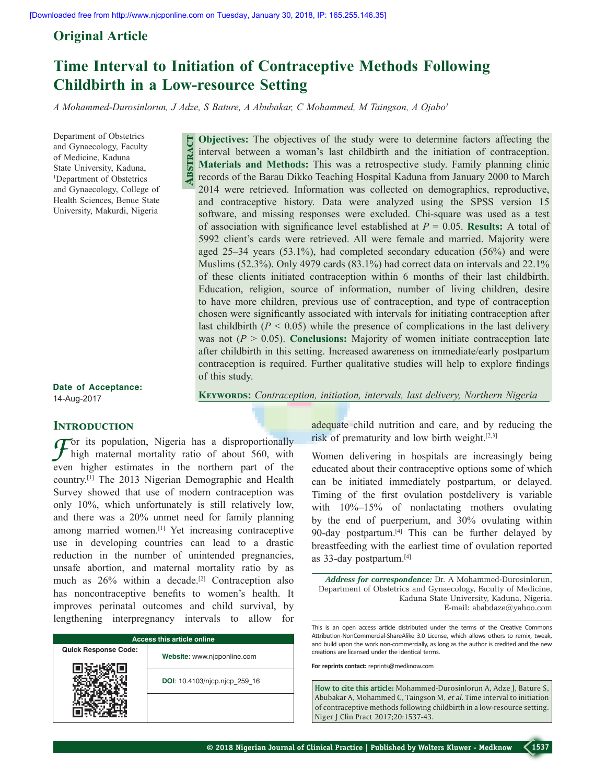## **Original Article**

# **Time Interval to Initiation of Contraceptive Methods Following Childbirth in a Low-resource Setting**

*A Mohammed‑Durosinlorun, J Adze, S Bature, A Abubakar, C Mohammed, M Taingson, A Ojabo1*

Department of Obstetrics and Gynaecology, Faculty of Medicine, Kaduna State University, Kaduna, 1 Department of Obstetrics and Gynaecology, College of Health Sciences, Benue State University, Makurdi, Nigeria

**Objectives:** The objectives of the study were to determine factors affecting the interval between a woman's last childbirth and the initiation of contraception. **Materials and Methods:** This was a retrospective study. Family planning clinic records of the Barau Dikko Teaching Hospital Kaduna from January 2000 to March 2014 were retrieved. Information was collected on demographics, reproductive, and contraceptive history. Data were analyzed using the SPSS version 15 software, and missing responses were excluded. Chi‑square was used as a test of association with significance level established at *P* = 0.05. **Results:** A total of 5992 client's cards were retrieved. All were female and married. Majority were aged  $25-34$  years  $(53.1\%)$ , had completed secondary education  $(56\%)$  and were Muslims (52.3%). Only 4979 cards (83.1%) had correct data on intervals and 22.1% of these clients initiated contraception within 6 months of their last childbirth. Education, religion, source of information, number of living children, desire to have more children, previous use of contraception, and type of contraception chosen were significantly associated with intervals for initiating contraception after last childbirth  $(P < 0.05)$  while the presence of complications in the last delivery was not  $(P > 0.05)$ . **Conclusions:** Majority of women initiate contraception late after childbirth in this setting. Increased awareness on immediate/early postpartum contraception is required. Further qualitative studies will help to explore findings of this study. **Abstract**

**Keywords:** *Contraception, initiation, intervals, last delivery, Northern Nigeria*

**Date of Acceptance:** 14-Aug-2017

## **INTRODUCTION**

*F*or its population, Nigeria has a disproportionally high maternal mortality ratio of about 560, with even higher estimates in the northern part of the country.[1] The 2013 Nigerian Demographic and Health Survey showed that use of modern contraception was only 10%, which unfortunately is still relatively low, and there was a 20% unmet need for family planning among married women.[1] Yet increasing contraceptive use in developing countries can lead to a drastic reduction in the number of unintended pregnancies, unsafe abortion, and maternal mortality ratio by as much as  $26\%$  within a decade.<sup>[2]</sup> Contraception also has noncontraceptive benefits to women's health. It improves perinatal outcomes and child survival, by lengthening interpregnancy intervals to allow for

| <b>Access this article online</b> |                               |  |  |
|-----------------------------------|-------------------------------|--|--|
| <b>Quick Response Code:</b>       | Website: www.njcponline.com   |  |  |
|                                   | DOI: 10.4103/njcp.njcp 259 16 |  |  |
|                                   |                               |  |  |

adequate child nutrition and care, and by reducing the risk of prematurity and low birth weight.[2,3]

Women delivering in hospitals are increasingly being educated about their contraceptive options some of which can be initiated immediately postpartum, or delayed. Timing of the first ovulation postdelivery is variable with  $10\%$ –15% of nonlactating mothers ovulating by the end of puerperium, and 30% ovulating within 90-day postpartum.<sup>[4]</sup> This can be further delayed by breastfeeding with the earliest time of ovulation reported as 33‑day postpartum.[4]

*Address for correspondence:* Dr. A Mohammed‑Durosinlorun, Department of Obstetrics and Gynaecology, Faculty of Medicine, Kaduna State University, Kaduna, Nigeria. E‑mail: ababdaze@yahoo.com

This is an open access article distributed under the terms of the Creative Commons Attribution-NonCommercial-ShareAlike 3.0 License, which allows others to remix, tweak, and build upon the work non-commercially, as long as the author is credited and the new creations are licensed under the identical terms.

**For reprints contact:** reprints@medknow.com

**How to cite this article:** Mohammed-Durosinlorun A, Adze J, Bature S, Abubakar A, Mohammed C, Taingson M, *et al*. Time interval to initiation of contraceptive methods following childbirth in a low-resource setting. Niger J Clin Pract 2017;20:1537-43.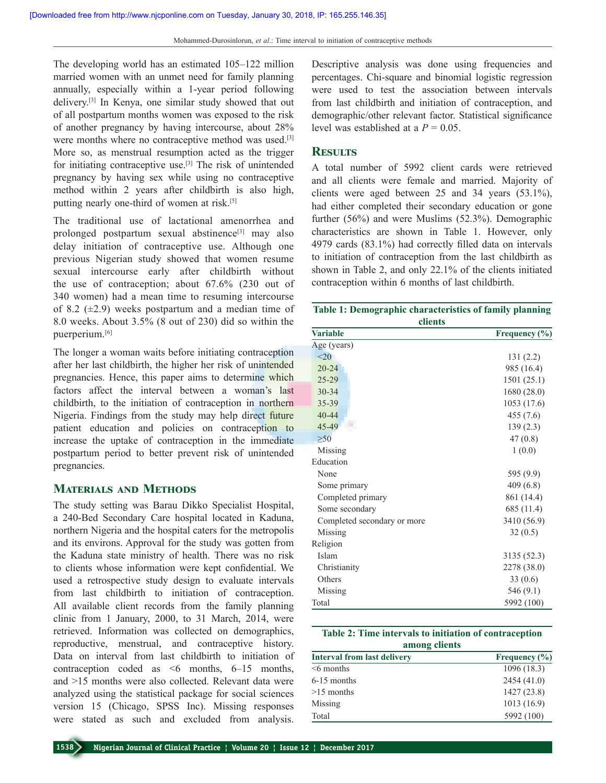The developing world has an estimated 105–122 million married women with an unmet need for family planning annually, especially within a 1‑year period following delivery.[3] In Kenya, one similar study showed that out of all postpartum months women was exposed to the risk of another pregnancy by having intercourse, about 28% were months where no contraceptive method was used.<sup>[3]</sup> More so, as menstrual resumption acted as the trigger for initiating contraceptive use.[3] The risk of unintended pregnancy by having sex while using no contraceptive method within 2 years after childbirth is also high, putting nearly one-third of women at risk.<sup>[5]</sup>

The traditional use of lactational amenorrhea and prolonged postpartum sexual abstinence<sup>[3]</sup> may also delay initiation of contraceptive use. Although one previous Nigerian study showed that women resume sexual intercourse early after childbirth without the use of contraception; about 67.6% (230 out of 340 women) had a mean time to resuming intercourse of 8.2  $(\pm 2.9)$  weeks postpartum and a median time of 8.0 weeks. About 3.5% (8 out of 230) did so within the puerperium.[6]

The longer a woman waits before initiating contraception after her last childbirth, the higher her risk of unintended pregnancies. Hence, this paper aims to determine which factors affect the interval between a woman's last childbirth, to the initiation of contraception in northern Nigeria. Findings from the study may help direct future patient education and policies on contraception to increase the uptake of contraception in the immediate postpartum period to better prevent risk of unintended pregnancies.

## **Materials and Methods**

The study setting was Barau Dikko Specialist Hospital, a 240‑Bed Secondary Care hospital located in Kaduna, northern Nigeria and the hospital caters for the metropolis and its environs. Approval for the study was gotten from the Kaduna state ministry of health. There was no risk to clients whose information were kept confidential. We used a retrospective study design to evaluate intervals from last childbirth to initiation of contraception. All available client records from the family planning clinic from 1 January, 2000, to 31 March, 2014, were retrieved. Information was collected on demographics, reproductive, menstrual, and contraceptive history. Data on interval from last childbirth to initiation of contraception coded as <6 months, 6–15 months, and >15 months were also collected. Relevant data were analyzed using the statistical package for social sciences version 15 (Chicago, SPSS Inc). Missing responses were stated as such and excluded from analysis.

Descriptive analysis was done using frequencies and percentages. Chi‑square and binomial logistic regression were used to test the association between intervals from last childbirth and initiation of contraception, and demographic/other relevant factor. Statistical significance level was established at a  $P = 0.05$ .

## **Results**

A total number of 5992 client cards were retrieved and all clients were female and married. Majority of clients were aged between 25 and 34 years (53.1%), had either completed their secondary education or gone further (56%) and were Muslims (52.3%). Demographic characteristics are shown in Table 1. However, only 4979 cards (83.1%) had correctly filled data on intervals to initiation of contraception from the last childbirth as shown in Table 2, and only 22.1% of the clients initiated contraception within 6 months of last childbirth.

| Table 1: Demographic characteristics of family planning |  |
|---------------------------------------------------------|--|
| <b>clients</b>                                          |  |

| спешь                       |                   |  |  |
|-----------------------------|-------------------|--|--|
| <b>Variable</b>             | Frequency $(\% )$ |  |  |
| Age (years)                 |                   |  |  |
| $20$                        | 131(2.2)          |  |  |
| $20 - 24$                   | 985 (16.4)        |  |  |
| $25 - 29$                   | 1501(25.1)        |  |  |
| $30 - 34$                   | 1680 (28.0)       |  |  |
| 35-39                       | 1053 (17.6)       |  |  |
| $40 - 44$                   | 455 (7.6)         |  |  |
| 45-49                       | 139(2.3)          |  |  |
| >50                         | 47(0.8)           |  |  |
| Missing                     | 1(0.0)            |  |  |
| Education                   |                   |  |  |
| None                        | 595 (9.9)         |  |  |
| Some primary                | 409(6.8)          |  |  |
| Completed primary           | 861 (14.4)        |  |  |
| Some secondary              | 685 (11.4)        |  |  |
| Completed secondary or more | 3410 (56.9)       |  |  |
| Missing                     | 32(0.5)           |  |  |
| Religion                    |                   |  |  |
| Islam                       | 3135 (52.3)       |  |  |
| Christianity                | 2278 (38.0)       |  |  |
| Others                      | 33(0.6)           |  |  |
| Missing                     | 546 (9.1)         |  |  |
| Total                       | 5992 (100)        |  |  |

| Table 2: Time intervals to initiation of contraception |  |  |  |  |
|--------------------------------------------------------|--|--|--|--|
| among clients                                          |  |  |  |  |

| <b>Interval from last delivery</b> | Frequency $(\% )$ |
|------------------------------------|-------------------|
| $\leq 6$ months                    | 1096(18.3)        |
| $6-15$ months                      | 2454(41.0)        |
| $>15$ months                       | 1427(23.8)        |
| Missing                            | 1013(16.9)        |
| Total                              | 5992 (100)        |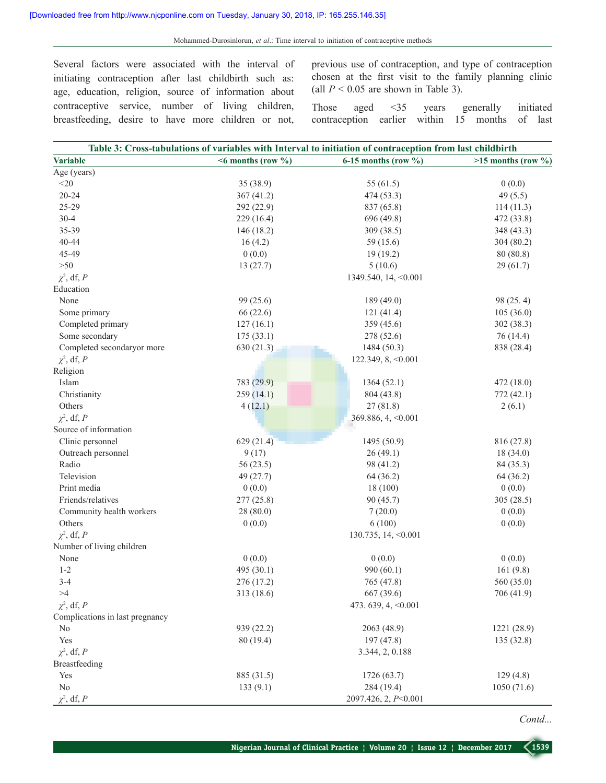Several factors were associated with the interval of initiating contraception after last childbirth such as: age, education, religion, source of information about contraceptive service, number of living children, breastfeeding, desire to have more children or not,

previous use of contraception, and type of contraception chosen at the first visit to the family planning clinic (all  $P < 0.05$  are shown in Table 3).

Those aged <35 years generally initiated contraception earlier within 15 months of last

|                                 |                                       | Table 3: Cross-tabulations of variables with Interval to initiation of contraception from last childbirth |                      |
|---------------------------------|---------------------------------------|-----------------------------------------------------------------------------------------------------------|----------------------|
| <b>Variable</b>                 | $\leq 6$ months (row $\frac{6}{10}$ ) | $6-15$ months (row $\%$ )                                                                                 | $>15$ months (row %) |
| Age (years)                     |                                       |                                                                                                           |                      |
| $<$ 20                          | 35(38.9)                              | 55 (61.5)                                                                                                 | 0(0.0)               |
| $20 - 24$                       | 367(41.2)                             | 474 (53.3)                                                                                                | 49 $(5.5)$           |
| 25-29                           | 292 (22.9)                            | 837 (65.8)                                                                                                | 114(11.3)            |
| $30 - 4$                        | 229 (16.4)                            | 696 (49.8)                                                                                                | 472 (33.8)           |
| 35-39                           | 146 (18.2)                            | 309 (38.5)                                                                                                | 348 (43.3)           |
| 40-44                           | 16(4.2)                               | 59 (15.6)                                                                                                 | 304 (80.2)           |
| 45-49                           | 0(0.0)                                | 19(19.2)                                                                                                  | 80(80.8)             |
| $>50$                           | 13(27.7)                              | 5(10.6)                                                                                                   | 29(61.7)             |
| $\chi^2$ , df, P                |                                       | 1349.540, 14, < 0.001                                                                                     |                      |
| Education                       |                                       |                                                                                                           |                      |
| None                            | 99 (25.6)                             | 189 (49.0)                                                                                                | 98 (25.4)            |
| Some primary                    | 66 (22.6)                             | 121(41.4)                                                                                                 | 105(36.0)            |
| Completed primary               | 127(16.1)                             | 359 (45.6)                                                                                                | 302 (38.3)           |
| Some secondary                  | 175(33.1)                             | 278 (52.6)                                                                                                | 76(14.4)             |
| Completed secondaryor more      | 630 (21.3)                            | 1484 (50.3)                                                                                               | 838 (28.4)           |
| $\chi^2$ , df, P                |                                       | 122.349, 8, < 0.001                                                                                       |                      |
| Religion                        |                                       |                                                                                                           |                      |
| Islam                           | 783 (29.9)                            | 1364(52.1)                                                                                                | 472(18.0)            |
| Christianity                    | 259(14.1)                             | 804 (43.8)                                                                                                | 772 (42.1)           |
| Others                          | 4(12.1)                               | 27(81.8)                                                                                                  | 2(6.1)               |
| $\chi^2$ , df, P                |                                       | 369.886, 4, < 0.001                                                                                       |                      |
| Source of information           |                                       |                                                                                                           |                      |
| Clinic personnel                | 629(21.4)                             | 1495 (50.9)                                                                                               | 816 (27.8)           |
|                                 |                                       |                                                                                                           |                      |
| Outreach personnel              | 9(17)                                 | 26(49.1)                                                                                                  | 18(34.0)             |
| Radio                           | 56(23.5)                              | 98 (41.2)                                                                                                 | 84 (35.3)            |
| Television                      | 49 (27.7)                             | 64(36.2)                                                                                                  | 64(36.2)             |
| Print media                     | 0(0.0)                                | 18 (100)                                                                                                  | 0(0.0)               |
| Friends/relatives               | 277 (25.8)                            | 90 (45.7)                                                                                                 | 305(28.5)            |
| Community health workers        | 28(80.0)                              | 7(20.0)                                                                                                   | 0(0.0)               |
| Others                          | 0(0.0)                                | 6(100)                                                                                                    | 0(0.0)               |
| $\chi^2$ , df, P                |                                       | 130.735, 14, <0.001                                                                                       |                      |
| Number of living children       |                                       |                                                                                                           |                      |
| None                            | 0(0.0)                                | 0(0.0)                                                                                                    | 0(0.0)               |
| $1 - 2$                         | 495 (30.1)                            | 990 (60.1)                                                                                                | 161(9.8)             |
| $3 - 4$                         | 276 (17.2)                            | 765 (47.8)                                                                                                | 560 (35.0)           |
| >4                              | 313 (18.6)                            | 667 (39.6)                                                                                                | 706 (41.9)           |
| $\chi^2$ , df, P                |                                       | 473.639, 4, < 0.001                                                                                       |                      |
| Complications in last pregnancy |                                       |                                                                                                           |                      |
| N <sub>0</sub>                  | 939 (22.2)                            | 2063 (48.9)                                                                                               | 1221 (28.9)          |
| Yes                             | 80 (19.4)                             | 197 (47.8)                                                                                                | 135 (32.8)           |
| $\chi^2$ , df, P                |                                       | 3.344, 2, 0.188                                                                                           |                      |
| Breastfeeding                   |                                       |                                                                                                           |                      |
| Yes                             | 885 (31.5)                            | 1726 (63.7)                                                                                               | 129(4.8)             |
| No                              | 133(9.1)                              | 284 (19.4)                                                                                                | 1050(71.6)           |
| $\chi^2$ , df, P                |                                       | 2097.426, 2, P<0.001                                                                                      |                      |

*Contd...*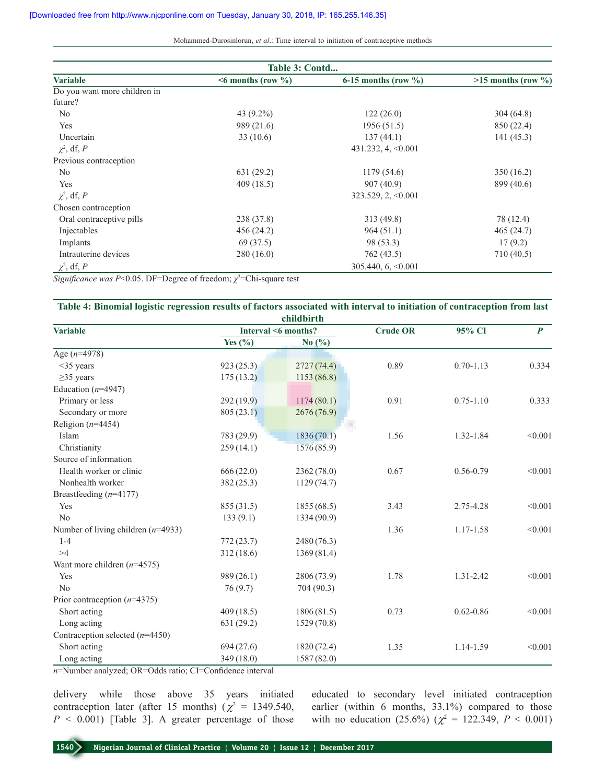Mohammed‑Durosinlorun, *et al*.: Time interval to initiation of contraceptive methods

| Table 3: Contd               |                             |                         |                          |  |
|------------------------------|-----------------------------|-------------------------|--------------------------|--|
| <b>Variable</b>              | $\leq 6$ months (row $\%$ ) | 6-15 months (row $\%$ ) | $>15$ months (row $\%$ ) |  |
| Do you want more children in |                             |                         |                          |  |
| future?                      |                             |                         |                          |  |
| No                           | 43 $(9.2\%)$                | 122(26.0)               | 304(64.8)                |  |
| Yes                          | 989 (21.6)                  | 1956(51.5)              | 850 (22.4)               |  |
| Uncertain                    | 33(10.6)                    | 137(44.1)               | 141(45.3)                |  |
| $\chi^2$ , df, P             |                             | $431.232, 4, \le 0.001$ |                          |  |
| Previous contraception       |                             |                         |                          |  |
| N <sub>0</sub>               | 631(29.2)                   | 1179 (54.6)             | 350 (16.2)               |  |
| Yes                          | 409(18.5)                   | 907(40.9)               | 899 (40.6)               |  |
| $\chi^2$ , df, P             |                             | $323.529, 2, \le 0.001$ |                          |  |
| Chosen contraception         |                             |                         |                          |  |
| Oral contraceptive pills     | 238 (37.8)                  | 313 (49.8)              | 78 (12.4)                |  |
| Injectables                  | 456(24.2)                   | 964(51.1)               | 465(24.7)                |  |
| Implants                     | 69 (37.5)                   | 98 (53.3)               | 17(9.2)                  |  |
| Intrauterine devices         | 280(16.0)                   | 762(43.5)               | 710(40.5)                |  |
| $\chi^2$ , df, P             |                             | $305.440, 6, \le 0.001$ |                          |  |

*Significance was P<*0.05. DF=Degree of freedom;  $\chi^2$ =Chi-square test

| Table 4: Binomial logistic regression results of factors associated with interval to initiation of contraception from last |   |  |
|----------------------------------------------------------------------------------------------------------------------------|---|--|
|                                                                                                                            | . |  |

| childbirth                           |             |                     |      |               |                  |  |  |
|--------------------------------------|-------------|---------------------|------|---------------|------------------|--|--|
| Variable                             |             | Interval <6 months? |      | 95% CI        | $\boldsymbol{P}$ |  |  |
|                                      | Yes $(\% )$ | No $(\%$            |      |               |                  |  |  |
| Age $(n=4978)$                       |             |                     |      |               |                  |  |  |
| $<$ 35 years                         | 923(25.3)   | 2727(74.4)          | 0.89 | $0.70 - 1.13$ | 0.334            |  |  |
| $\geq$ 35 years                      | 175(13.2)   | 1153(86.8)          |      |               |                  |  |  |
| Education ( $n=4947$ )               |             |                     |      |               |                  |  |  |
| Primary or less                      | 292(19.9)   | 1174(80.1)          | 0.91 | $0.75 - 1.10$ | 0.333            |  |  |
| Secondary or more                    | 805(23.1)   | 2676(76.9)          |      |               |                  |  |  |
| Religion $(n=4454)$                  |             |                     |      |               |                  |  |  |
| Islam                                | 783 (29.9)  | 1836(70.1)          | 1.56 | 1.32-1.84     | < 0.001          |  |  |
| Christianity                         | 259(14.1)   | 1576 (85.9)         |      |               |                  |  |  |
| Source of information                |             |                     |      |               |                  |  |  |
| Health worker or clinic              | 666(22.0)   | 2362 (78.0)         | 0.67 | $0.56 - 0.79$ | < 0.001          |  |  |
| Nonhealth worker                     | 382 (25.3)  | 1129(74.7)          |      |               |                  |  |  |
| Breastfeeding $(n=4177)$             |             |                     |      |               |                  |  |  |
| Yes                                  | 855 (31.5)  | 1855(68.5)          | 3.43 | 2.75-4.28     | < 0.001          |  |  |
| No                                   | 133(9.1)    | 1334 (90.9)         |      |               |                  |  |  |
| Number of living children $(n=4933)$ |             |                     | 1.36 | 1.17-1.58     | < 0.001          |  |  |
| $1 - 4$                              | 772(23.7)   | 2480 (76.3)         |      |               |                  |  |  |
| >4                                   | 312 (18.6)  | 1369(81.4)          |      |               |                  |  |  |
| Want more children $(n=4575)$        |             |                     |      |               |                  |  |  |
| Yes                                  | 989 (26.1)  | 2806 (73.9)         | 1.78 | 1.31-2.42     | < 0.001          |  |  |
| N <sub>0</sub>                       | 76(9.7)     | 704 (90.3)          |      |               |                  |  |  |
| Prior contraception $(n=4375)$       |             |                     |      |               |                  |  |  |
| Short acting                         | 409(18.5)   | 1806(81.5)          | 0.73 | $0.62 - 0.86$ | < 0.001          |  |  |
| Long acting                          | 631(29.2)   | 1529(70.8)          |      |               |                  |  |  |
| Contraception selected $(n=4450)$    |             |                     |      |               |                  |  |  |
| Short acting                         | 694(27.6)   | 1820 (72.4)         | 1.35 | 1.14-1.59     | < 0.001          |  |  |
| Long acting                          | 349 (18.0)  | 1587 (82.0)         |      |               |                  |  |  |

*n*=Number analyzed; OR=Odds ratio; CI=Confidence interval

delivery while those above 35 years initiated contraception later (after 15 months) ( $\chi^2$  = 1349.540,  $P \le 0.001$ ) [Table 3]. A greater percentage of those

educated to secondary level initiated contraception earlier (within 6 months, 33.1%) compared to those with no education (25.6%) ( $\chi^2 = 122.349$ ,  $P < 0.001$ )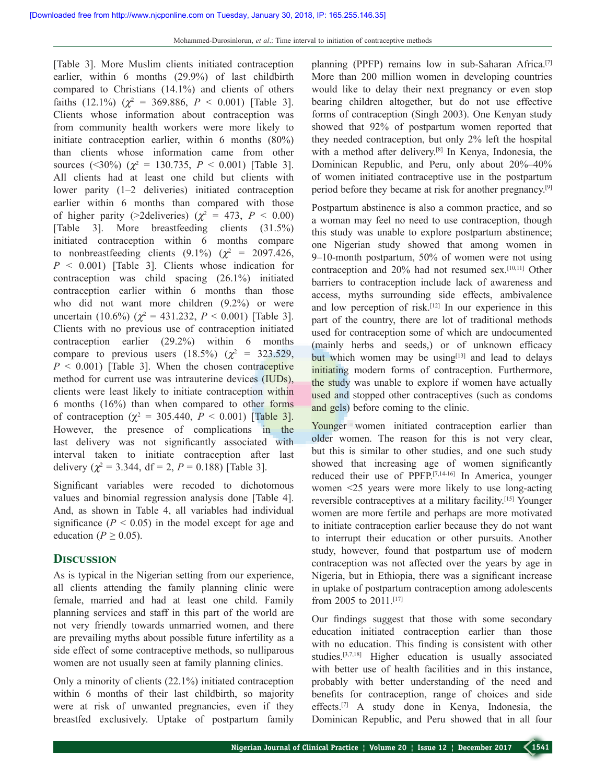[Table 3]. More Muslim clients initiated contraception earlier, within 6 months (29.9%) of last childbirth compared to Christians (14.1%) and clients of others faiths (12.1%) ( $\chi^2$  = 369.886,  $P < 0.001$ ) [Table 3]. Clients whose information about contraception was from community health workers were more likely to initiate contraception earlier, within 6 months (80%) than clients whose information came from other sources (<30%) ( $\chi^2$  = 130.735, *P* < 0.001) [Table 3]. All clients had at least one child but clients with lower parity (1–2 deliveries) initiated contraception earlier within 6 months than compared with those of higher parity (>2deliveries) ( $\chi^2 = 473$ ,  $P < 0.00$ ) [Table 3]. More breastfeeding clients (31.5%) initiated contraception within 6 months compare to nonbreastfeeding clients  $(9.1\%) (\chi^2 = 2097.426,$ *P* < 0.001) [Table 3]. Clients whose indication for contraception was child spacing (26.1%) initiated contraception earlier within 6 months than those who did not want more children (9.2%) or were uncertain (10.6%) ( $\chi^2$  = 431.232, *P* < 0.001) [Table 3]. Clients with no previous use of contraception initiated contraception earlier (29.2%) within 6 months compare to previous users  $(18.5\%) (\chi^2 = 323.529)$ ,  $P \leq 0.001$ ) [Table 3]. When the chosen contraceptive method for current use was intrauterine devices (IUDs), clients were least likely to initiate contraception within 6 months (16%) than when compared to other forms of contraception ( $\chi^2 = 305.440$ ,  $P < 0.001$ ) [Table 3]. However, the presence of complications in the last delivery was not significantly associated with interval taken to initiate contraception after last delivery ( $\chi^2$  = 3.344, df = 2, P = 0.188) [Table 3].

Significant variables were recoded to dichotomous values and binomial regression analysis done [Table 4]. And, as shown in Table 4, all variables had individual significance  $(P < 0.05)$  in the model except for age and education ( $P \ge 0.05$ ).

#### **Discussion**

As is typical in the Nigerian setting from our experience, all clients attending the family planning clinic were female, married and had at least one child. Family planning services and staff in this part of the world are not very friendly towards unmarried women, and there are prevailing myths about possible future infertility as a side effect of some contraceptive methods, so nulliparous women are not usually seen at family planning clinics.

Only a minority of clients (22.1%) initiated contraception within 6 months of their last childbirth, so majority were at risk of unwanted pregnancies, even if they breastfed exclusively. Uptake of postpartum family planning (PPFP) remains low in sub-Saharan Africa.<sup>[7]</sup> More than 200 million women in developing countries would like to delay their next pregnancy or even stop bearing children altogether, but do not use effective forms of contraception (Singh 2003). One Kenyan study showed that 92% of postpartum women reported that they needed contraception, but only 2% left the hospital with a method after delivery.[8] In Kenya, Indonesia, the Dominican Republic, and Peru, only about 20%–40% of women initiated contraceptive use in the postpartum period before they became at risk for another pregnancy.[9]

Postpartum abstinence is also a common practice, and so a woman may feel no need to use contraception, though this study was unable to explore postpartum abstinence; one Nigerian study showed that among women in 9–10‑month postpartum, 50% of women were not using contraception and 20% had not resumed sex.[10,11] Other barriers to contraception include lack of awareness and access, myths surrounding side effects, ambivalence and low perception of risk.<sup>[12]</sup> In our experience in this part of the country, there are lot of traditional methods used for contraception some of which are undocumented (mainly herbs and seeds,) or of unknown efficacy but which women may be using $[13]$  and lead to delays initiating modern forms of contraception. Furthermore, the study was unable to explore if women have actually used and stopped other contraceptives (such as condoms and gels) before coming to the clinic.

Younger women initiated contraception earlier than older women. The reason for this is not very clear, but this is similar to other studies, and one such study showed that increasing age of women significantly reduced their use of PPFP.[7,14‑16] In America, younger women <25 years were more likely to use long-acting reversible contraceptives at a military facility.[15] Younger women are more fertile and perhaps are more motivated to initiate contraception earlier because they do not want to interrupt their education or other pursuits. Another study, however, found that postpartum use of modern contraception was not affected over the years by age in Nigeria, but in Ethiopia, there was a significant increase in uptake of postpartum contraception among adolescents from 2005 to 2011.[17]

Our findings suggest that those with some secondary education initiated contraception earlier than those with no education. This finding is consistent with other studies.[3,7,18] Higher education is usually associated with better use of health facilities and in this instance, probably with better understanding of the need and benefits for contraception, range of choices and side effects.[7] A study done in Kenya, Indonesia, the Dominican Republic, and Peru showed that in all four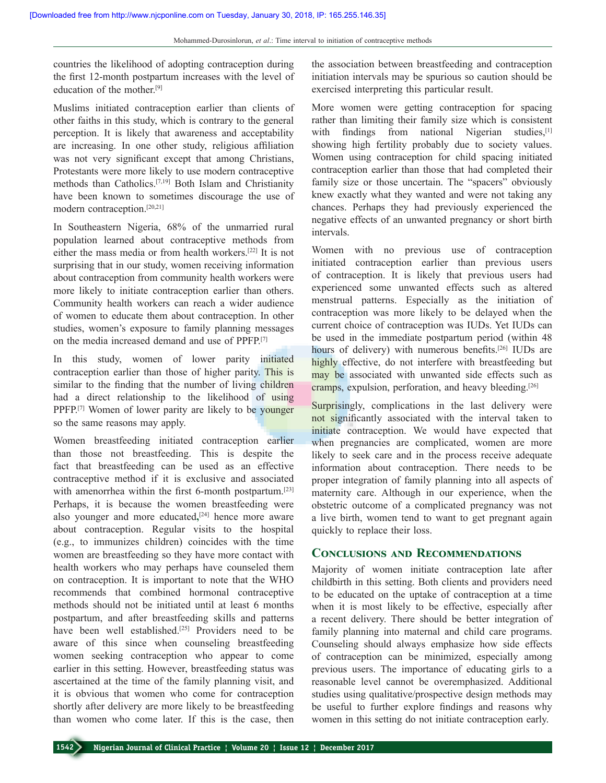countries the likelihood of adopting contraception during the first 12‑month postpartum increases with the level of education of the mother<sup>[9]</sup>

Muslims initiated contraception earlier than clients of other faiths in this study, which is contrary to the general perception. It is likely that awareness and acceptability are increasing. In one other study, religious affiliation was not very significant except that among Christians, Protestants were more likely to use modern contraceptive methods than Catholics.[7,19] Both Islam and Christianity have been known to sometimes discourage the use of modern contraception.[20,21]

In Southeastern Nigeria, 68% of the unmarried rural population learned about contraceptive methods from either the mass media or from health workers.[22] It is not surprising that in our study, women receiving information about contraception from community health workers were more likely to initiate contraception earlier than others. Community health workers can reach a wider audience of women to educate them about contraception. In other studies, women's exposure to family planning messages on the media increased demand and use of PPFP.[7]

In this study, women of lower parity initiated contraception earlier than those of higher parity. This is similar to the finding that the number of living children had a direct relationship to the likelihood of using PPFP.[7] Women of lower parity are likely to be younger so the same reasons may apply.

Women breastfeeding initiated contraception earlier than those not breastfeeding. This is despite the fact that breastfeeding can be used as an effective contraceptive method if it is exclusive and associated with amenorrhea within the first 6-month postpartum.<sup>[23]</sup> Perhaps, it is because the women breastfeeding were also younger and more educated**,** [24] hence more aware about contraception. Regular visits to the hospital (e.g., to immunizes children) coincides with the time women are breastfeeding so they have more contact with health workers who may perhaps have counseled them on contraception. It is important to note that the WHO recommends that combined hormonal contraceptive methods should not be initiated until at least 6 months postpartum, and after breastfeeding skills and patterns have been well established.<sup>[25]</sup> Providers need to be aware of this since when counseling breastfeeding women seeking contraception who appear to come earlier in this setting. However, breastfeeding status was ascertained at the time of the family planning visit, and it is obvious that women who come for contraception shortly after delivery are more likely to be breastfeeding than women who come later. If this is the case, then

the association between breastfeeding and contraception initiation intervals may be spurious so caution should be exercised interpreting this particular result.

More women were getting contraception for spacing rather than limiting their family size which is consistent with findings from national Nigerian studies,<sup>[1]</sup> showing high fertility probably due to society values. Women using contraception for child spacing initiated contraception earlier than those that had completed their family size or those uncertain. The "spacers" obviously knew exactly what they wanted and were not taking any chances. Perhaps they had previously experienced the negative effects of an unwanted pregnancy or short birth intervals.

Women with no previous use of contraception initiated contraception earlier than previous users of contraception. It is likely that previous users had experienced some unwanted effects such as altered menstrual patterns. Especially as the initiation of contraception was more likely to be delayed when the current choice of contraception was IUDs. Yet IUDs can be used in the immediate postpartum period (within 48 hours of delivery) with numerous benefits.<sup>[26]</sup> IUDs are highly effective, do not interfere with breastfeeding but may be associated with unwanted side effects such as cramps, expulsion, perforation, and heavy bleeding.[26]

Surprisingly, complications in the last delivery were not significantly associated with the interval taken to initiate contraception. We would have expected that when pregnancies are complicated, women are more likely to seek care and in the process receive adequate information about contraception. There needs to be proper integration of family planning into all aspects of maternity care. Although in our experience, when the obstetric outcome of a complicated pregnancy was not a live birth, women tend to want to get pregnant again quickly to replace their loss.

### **Conclusions and Recommendations**

Majority of women initiate contraception late after childbirth in this setting. Both clients and providers need to be educated on the uptake of contraception at a time when it is most likely to be effective, especially after a recent delivery. There should be better integration of family planning into maternal and child care programs. Counseling should always emphasize how side effects of contraception can be minimized, especially among previous users. The importance of educating girls to a reasonable level cannot be overemphasized. Additional studies using qualitative/prospective design methods may be useful to further explore findings and reasons why women in this setting do not initiate contraception early.